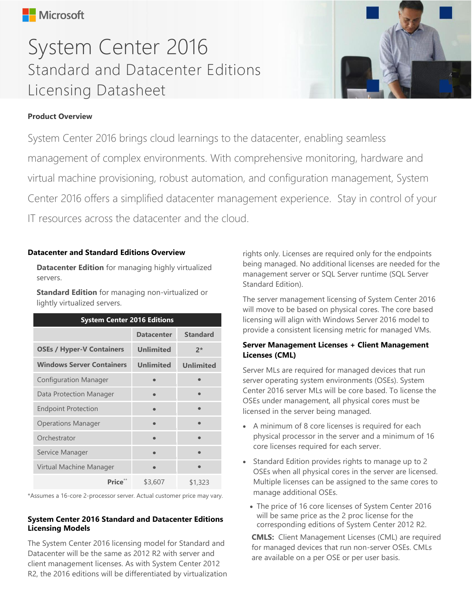# System Center 2016 Standard and Datacenter Editions Licensing Datasheet



# **Product Overview**

System Center 2016 brings cloud learnings to the datacenter, enabling seamless management of complex environments. With comprehensive monitoring, hardware and virtual machine provisioning, robust automation, and configuration management, System Center 2016 offers a simplified datacenter management experience. Stay in control of your IT resources across the datacenter and the cloud.

### **Datacenter and Standard Editions Overview**

**Datacenter Edition** for managing highly virtualized servers.

**Standard Edition** for managing non-virtualized or lightly virtualized servers.

| <b>System Center 2016 Editions</b> |                   |                  |
|------------------------------------|-------------------|------------------|
|                                    | <b>Datacenter</b> | <b>Standard</b>  |
| <b>OSEs / Hyper-V Containers</b>   | <b>Unlimited</b>  | $2*$             |
| <b>Windows Server Containers</b>   | <b>Unlimited</b>  | <b>Unlimited</b> |
| <b>Configuration Manager</b>       |                   |                  |
| Data Protection Manager            |                   |                  |
| <b>Endpoint Protection</b>         |                   |                  |
| <b>Operations Manager</b>          |                   |                  |
| Orchestrator                       |                   |                  |
| Service Manager                    |                   |                  |
| Virtual Machine Manager            |                   |                  |
| Price**                            | \$3,607           | \$1,323          |

\*Assumes a 16-core 2-processor server. Actual customer price may vary.

# **System Center 2016 Standard and Datacenter Editions Licensing Models**

The System Center 2016 licensing model for Standard and Datacenter will be the same as 2012 R2 with server and client management licenses. As with System Center 2012 R2, the 2016 editions will be differentiated by virtualization

rights only. Licenses are required only for the endpoints being managed. No additional licenses are needed for the management server or SQL Server runtime (SQL Server Standard Edition).

The server management licensing of System Center 2016 will move to be based on physical cores. The core based licensing will align with Windows Server 2016 model to provide a consistent licensing metric for managed VMs.

# **Server Management Licenses + Client Management Licenses (CML)**

Server MLs are required for managed devices that run server operating system environments (OSEs). System Center 2016 server MLs will be core based. To license the OSEs under management, all physical cores must be licensed in the server being managed.

- A minimum of 8 core licenses is required for each physical processor in the server and a minimum of 16 core licenses required for each server.
- Standard Edition provides rights to manage up to 2 OSEs when all physical cores in the server are licensed. Multiple licenses can be assigned to the same cores to manage additional OSEs.
	- The price of 16 core licenses of System Center 2016 will be same price as the 2 proc license for the corresponding editions of System Center 2012 R2.

**CMLS:** Client Management Licenses (CML) are required for managed devices that run non-server OSEs. CMLs are available on a per OSE or per user basis.